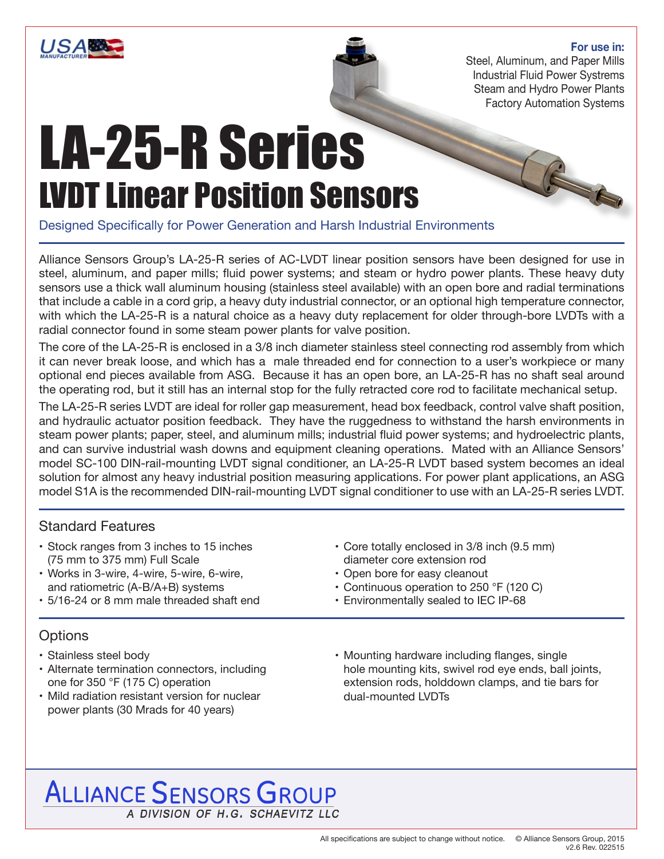

#### **For use in:**

R

Steel, Aluminum, and Paper Mills Industrial Fluid Power Systrems Steam and Hydro Power Plants Factory Automation Systems

## LA-25-R Series LVDT Linear Position Sensors

Designed Specifically for Power Generation and Harsh Industrial Environments

Alliance Sensors Group's LA-25-R series of AC-LVDT linear position sensors have been designed for use in steel, aluminum, and paper mills; fluid power systems; and steam or hydro power plants. These heavy duty sensors use a thick wall aluminum housing (stainless steel available) with an open bore and radial terminations that include a cable in a cord grip, a heavy duty industrial connector, or an optional high temperature connector, with which the LA-25-R is a natural choice as a heavy duty replacement for older through-bore LVDTs with a radial connector found in some steam power plants for valve position.

The core of the LA-25-R is enclosed in a 3/8 inch diameter stainless steel connecting rod assembly from which it can never break loose, and which has a male threaded end for connection to a user's workpiece or many optional end pieces available from ASG. Because it has an open bore, an LA-25-R has no shaft seal around the operating rod, but it still has an internal stop for the fully retracted core rod to facilitate mechanical setup.

The LA-25-R series LVDT are ideal for roller gap measurement, head box feedback, control valve shaft position, and hydraulic actuator position feedback. They have the ruggedness to withstand the harsh environments in steam power plants; paper, steel, and aluminum mills; industrial fluid power systems; and hydroelectric plants, and can survive industrial wash downs and equipment cleaning operations. Mated with an Alliance Sensors' model SC-100 DIN-rail-mounting LVDT signal conditioner, an LA-25-R LVDT based system becomes an ideal solution for almost any heavy industrial position measuring applications. For power plant applications, an ASG model S1A is the recommended DIN-rail-mounting LVDT signal conditioner to use with an LA-25-R series LVDT.

#### Standard Features

- Stock ranges from 3 inches to 15 inches (75 mm to 375 mm) Full Scale
- Works in 3-wire, 4-wire, 5-wire, 6-wire, and ratiometric (A-B/A+B) systems
- 5/16-24 or 8 mm male threaded shaft end
- Core totally enclosed in 3/8 inch (9.5 mm) diameter core extension rod
- Open bore for easy cleanout
- Continuous operation to 250 °F (120 C)
- Environmentally sealed to IEC IP-68

#### **Options**

- Stainless steel body
- Alternate termination connectors, including one for 350 °F (175 C) operation
- Mild radiation resistant version for nuclear power plants (30 Mrads for 40 years)
- Mounting hardware including flanges, single hole mounting kits, swivel rod eye ends, ball joints, extension rods, holddown clamps, and tie bars for dual-mounted LVDTs

### **ALLIANCE SENSORS GROUP** A DIVISION OF H.G. SCHAEVITZ LLC